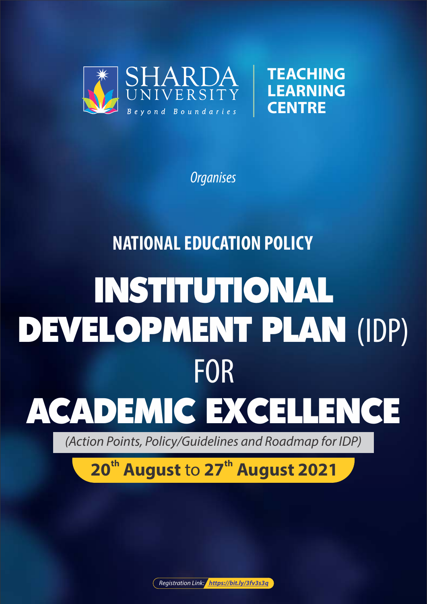



**Organises** 

# **NATIONAL EDUCATION POLICY**

# INSTITUTIONAL DEVELOPMENT PLAN (IDP) FOR ACADEMIC EXCELLENCE

(Action Points, Policy/Guidelines and Roadmap for IDP)

# **th th 20 August** to **27 August 2021**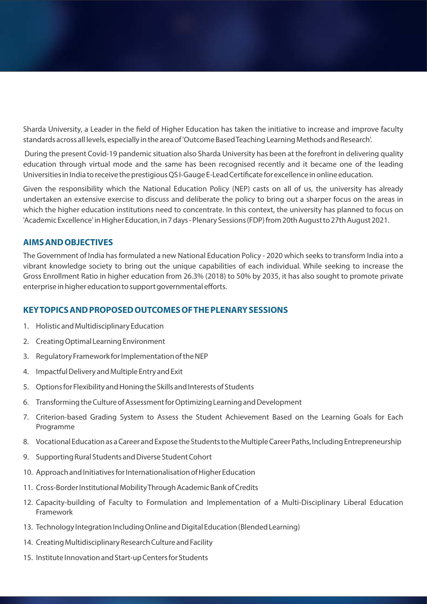Sharda University, a Leader in the field of Higher Education has taken the initiative to increase and improve faculty standards across all levels, especially in the area of 'Outcome Based Teaching Learning Methods and Research'.

During the present Covid-19 pandemic situation also Sharda University has been at the forefront in delivering quality education through virtual mode and the same has been recognised recently and it became one of the leading Universities in India to receive the prestigious QSI-Gauge E-Lead Certificate for excellence in online education.

Given the responsibility which the National Education Policy (NEP) casts on all of us, the university has already undertaken an extensive exercise to discuss and deliberate the policy to bring out a sharper focus on the areas in which the higher education institutions need to concentrate. In this context, the university has planned to focus on 'Academic Excellence' in Higher Education, in 7 days - Plenary Sessions (FDP) from 20th August to 27th August 2021.

#### **AIMS AND OBJECTIVES**

The Government of India has formulated a new National Education Policy - 2020 which seeks to transform India into a vibrant knowledge society to bring out the unique capabilities of each individual. While seeking to increase the Gross Enrollment Ratio in higher education from 26.3% (2018) to 50% by 2035, it has also sought to promote private enterprise in higher education to support governmental efforts.

#### **KEY TOPICS AND PROPOSED OUTCOMES OF THE PLENARY SESSIONS**

- 1. Holistic and Multidisciplinary Education
- 2. Creating Optimal Learning Environment
- 3. Regulatory Framework for Implementation of the NEP
- 4. Impactful Delivery and Multiple Entry and Exit
- 5. Options for Flexibility and Honing the Skills and Interests of Students
- 6. Transforming the Culture of Assessment for Optimizing Learning and Development
- 7. Criterion-based Grading System to Assess the Student Achievement Based on the Learning Goals for Each Programme
- 8. Vocational Education as a Career and Expose the Students to the Multiple Career Paths, Including Entrepreneurship
- 9. Supporting Rural Students and Diverse Student Cohort
- 10. Approach and Initiatives for Internationalisation of Higher Education
- 11. Cross-Border Institutional Mobility Through Academic Bank of Credits
- 12. Capacity-building of Faculty to Formulation and Implementation of a Multi-Disciplinary Liberal Education Framework
- 13. Technology Integration Including Online and Digital Education (Blended Learning)
- 14. Creating Multidisciplinary Research Culture and Facility
- 15. Institute Innovation and Start-up Centers for Students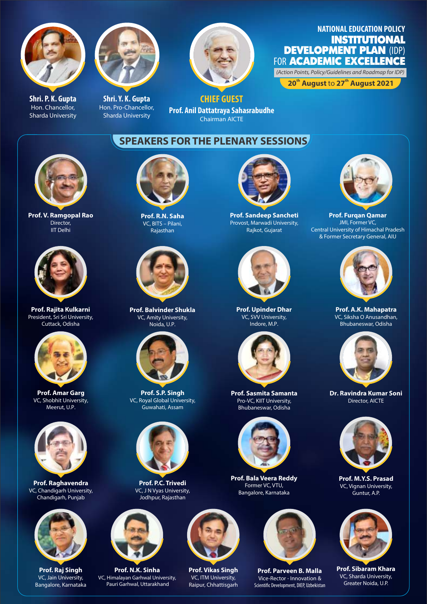

**Shri. P. K. Gupta** Hon. Chancellor, Sharda University



**Shri. Y. K. Gupta** Hon. Pro-Chancellor, Sharda University



**CHIEF GUEST Prof. Anil Dattatraya Sahasrabudhe** Chairman AICTE

### **NATIONAL EDUCATION POLICY** INSTITUTIONAL **DEVELOPMENT PLAN (IDP)** FOR **ACADEMIC EXCELLENCE**

(Action Points, Policy/Guidelines and Roadmap for IDP)

**th th 20 August** to **27 August 2021** 

**SPEAKERS FOR THE PLENARY SESSIONS**



**Prof. V. Ramgopal Rao** Director, IIT Delhi

![](_page_2_Picture_12.jpeg)

**Prof. Rajita Kulkarni** President, Sri Sri University, Cuttack, Odisha

![](_page_2_Picture_14.jpeg)

**Prof. Amar Garg** VC, Shobhit University, Meerut, U.P.

![](_page_2_Picture_16.jpeg)

**Prof. Raghavendra** VC, Chandigarh University, Chandigarh, Punjab

![](_page_2_Picture_18.jpeg)

**Prof. Raj Singh** VC, Jain University, Bangalore, Karnataka

![](_page_2_Picture_20.jpeg)

**Prof. R.N. Saha** VC, BITS – Pilani, Rajasthan

![](_page_2_Picture_22.jpeg)

**Prof. Balvinder Shukla** VC, Amity University, Noida, U.P.

![](_page_2_Picture_24.jpeg)

**Prof. S.P. Singh** VC, Royal Global University, Guwahati, Assam

![](_page_2_Picture_26.jpeg)

**Prof. P.C. Trivedi** VC, J N Vyas University, Jodhpur, Rajasthan

![](_page_2_Picture_28.jpeg)

**Prof. N.K. Sinha** VC, Himalayan Garhwal University, Pauri Garhwal, Uttarakhand

![](_page_2_Picture_30.jpeg)

![](_page_2_Picture_31.jpeg)

**Prof. Vikas Singh** VC, ITM University, Raipur, Chhattisgarh

![](_page_2_Picture_33.jpeg)

**Prof. Sandeep Sancheti** Provost, Marwadi University, Rajkot, Gujarat

![](_page_2_Picture_35.jpeg)

**Prof. Upinder Dhar** VC, SVV University, Indore, M.P.

![](_page_2_Picture_37.jpeg)

**Prof. Sasmita Samanta** Pro-VC, KIIT University, Bhubaneswar, Odisha

![](_page_2_Picture_39.jpeg)

**Prof. Bala Veera Reddy** Former VC, VTU, Bangalore, Karnataka

![](_page_2_Picture_41.jpeg)

**Prof. Parveen B. Malla** Vice-Rector - Innovation & Scientific Development, DIEP, Uzbekistan

![](_page_2_Picture_43.jpeg)

**Prof. Furqan Qamar** JMI, Former VC, Central University of Himachal Pradesh & Former Secretary General, AIU

![](_page_2_Picture_45.jpeg)

**Prof. A.K. Mahapatra** VC, Siksha O Anusandhan, Bhubaneswar, Odisha

![](_page_2_Picture_47.jpeg)

**Dr. Ravindra Kumar Soni** Director, AICTE

![](_page_2_Picture_49.jpeg)

**Prof. M.Y.S. Prasad** VC, Vignan University, Guntur, A.P.

![](_page_2_Picture_51.jpeg)

**Prof. Sibaram Khara** VC, Sharda University, Greater Noida, U.P.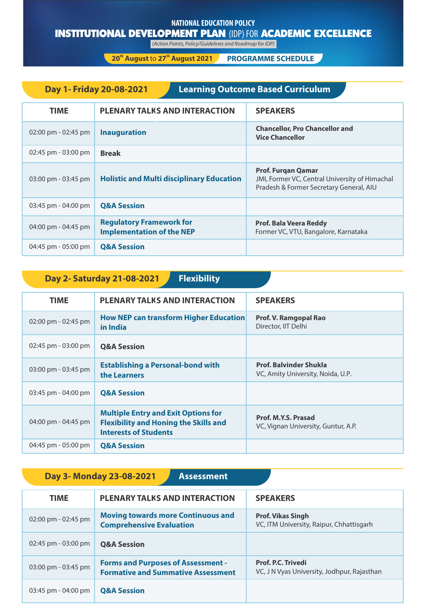#### **NATIONAL EDUCATION POLICY**

## INSTITUTIONAL DEVELOPMENT PLAN (IDP) FOR ACADEMIC EXCELLENCE

(Action Points, Policy/Guidelines and Roadmap for IDP)

**there 20<sup>th</sup> August 2021 PROGRAMME SCHEDULE** 

| <b>Learning Outcome Based Curriculum</b><br>Day 1- Friday 20-08-2021 |                                                                     |                                                                                                                        |
|----------------------------------------------------------------------|---------------------------------------------------------------------|------------------------------------------------------------------------------------------------------------------------|
| <b>TIME</b>                                                          | <b>PLENARY TALKS AND INTERACTION</b>                                | <b>SPEAKERS</b>                                                                                                        |
| $02:00 \text{ pm} - 02:45 \text{ pm}$                                | <b>Inauguration</b>                                                 | <b>Chancellor, Pro Chancellor and</b><br><b>Vice Chancellor</b>                                                        |
| 02:45 pm - 03:00 pm                                                  | <b>Break</b>                                                        |                                                                                                                        |
| 03:00 pm - 03:45 pm                                                  | <b>Holistic and Multi disciplinary Education</b>                    | <b>Prof. Furgan Qamar</b><br>JMI, Former VC, Central University of Himachal<br>Pradesh & Former Secretary General, AIU |
| 03:45 pm - 04:00 pm                                                  | <b>Q&amp;A Session</b>                                              |                                                                                                                        |
| 04:00 pm - 04:45 pm                                                  | <b>Regulatory Framework for</b><br><b>Implementation of the NEP</b> | Prof. Bala Veera Reddy<br>Former VC, VTU, Bangalore, Karnataka                                                         |
| 04:45 pm - 05:00 pm                                                  | <b>Q&amp;A Session</b>                                              |                                                                                                                        |

| <b>Flexibility</b><br>Day 2- Saturday 21-08-2021 |                                                                                                                            |                                                                    |
|--------------------------------------------------|----------------------------------------------------------------------------------------------------------------------------|--------------------------------------------------------------------|
| <b>TIME</b>                                      | <b>PLENARY TALKS AND INTERACTION</b>                                                                                       | <b>SPEAKERS</b>                                                    |
| 02:00 pm - 02:45 pm                              | <b>How NEP can transform Higher Education</b><br>in India                                                                  | Prof. V. Ramgopal Rao<br>Director, IIT Delhi                       |
| 02:45 pm - 03:00 pm                              | <b>Q&amp;A Session</b>                                                                                                     |                                                                    |
| 03:00 pm - 03:45 pm                              | <b>Establishing a Personal-bond with</b><br>the Learners                                                                   | <b>Prof. Balvinder Shukla</b><br>VC, Amity University, Noida, U.P. |
| 03:45 pm - 04:00 pm                              | <b>Q&amp;A Session</b>                                                                                                     |                                                                    |
| 04:00 pm - 04:45 pm                              | <b>Multiple Entry and Exit Options for</b><br><b>Flexibility and Honing the Skills and</b><br><b>Interests of Students</b> | Prof. M.Y.S. Prasad<br>VC, Vignan University, Guntur, A.P.         |
| 04:45 pm - 05:00 pm                              | <b>Q&amp;A Session</b>                                                                                                     |                                                                    |

| Day 3- Monday 23-08-2021<br><b>Assessment</b> |                                                                                        |                                                                          |
|-----------------------------------------------|----------------------------------------------------------------------------------------|--------------------------------------------------------------------------|
| <b>TIME</b>                                   | <b>PLENARY TALKS AND INTERACTION</b>                                                   | <b>SPEAKERS</b>                                                          |
| 02:00 pm - 02:45 pm                           | <b>Moving towards more Continuous and</b><br><b>Comprehensive Evaluation</b>           | <b>Prof. Vikas Singh</b><br>VC, ITM University, Raipur, Chhattisgarh     |
| 02:45 pm - 03:00 pm                           | <b>Q&amp;A Session</b>                                                                 |                                                                          |
| 03:00 pm - 03:45 pm                           | <b>Forms and Purposes of Assessment -</b><br><b>Formative and Summative Assessment</b> | <b>Prof. P.C. Trivedi</b><br>VC, J N Vyas University, Jodhpur, Rajasthan |
| $03:45$ pm - 04:00 pm                         | <b>Q&amp;A Session</b>                                                                 |                                                                          |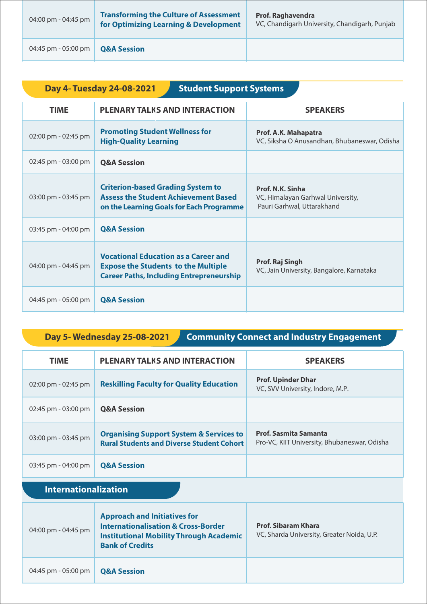| 04:00 pm - 04:45 pm | <b>Transforming the Culture of Assessment</b><br>for Optimizing Learning & Development | <b>Prof. Raghavendra</b><br>VC, Chandigarh University, Chandigarh, Punjab |
|---------------------|----------------------------------------------------------------------------------------|---------------------------------------------------------------------------|
| 04:45 pm - 05:00 pm | <b>Q&amp;A Session</b>                                                                 |                                                                           |

| Day 4- Tuesday 24-08-2021<br><b>Student Support Systems</b> |                                                                                                                                              |                                                                                     |
|-------------------------------------------------------------|----------------------------------------------------------------------------------------------------------------------------------------------|-------------------------------------------------------------------------------------|
| <b>TIME</b>                                                 | <b>PLENARY TALKS AND INTERACTION</b>                                                                                                         | <b>SPEAKERS</b>                                                                     |
| 02:00 pm - 02:45 pm                                         | <b>Promoting Student Wellness for</b><br><b>High-Quality Learning</b>                                                                        | Prof. A.K. Mahapatra<br>VC, Siksha O Anusandhan, Bhubaneswar, Odisha                |
| 02:45 pm - 03:00 pm                                         | <b>O&amp;A Session</b>                                                                                                                       |                                                                                     |
| 03:00 pm - 03:45 pm                                         | <b>Criterion-based Grading System to</b><br><b>Assess the Student Achievement Based</b><br>on the Learning Goals for Each Programme          | Prof. N.K. Sinha<br>VC, Himalayan Garhwal University,<br>Pauri Garhwal, Uttarakhand |
| 03:45 pm - 04:00 pm                                         | <b>Q&amp;A Session</b>                                                                                                                       |                                                                                     |
| 04:00 pm - 04:45 pm                                         | <b>Vocational Education as a Career and</b><br><b>Expose the Students to the Multiple</b><br><b>Career Paths, Including Entrepreneurship</b> | Prof. Raj Singh<br>VC, Jain University, Bangalore, Karnataka                        |
| 04:45 pm - 05:00 pm                                         | <b>Q&amp;A Session</b>                                                                                                                       |                                                                                     |

# **Day 5- Wednesday 25-08-2021 Community Connect and Industry Engagement**

| <b>TIME</b>                           | <b>PLENARY TALKS AND INTERACTION</b>                                                                   | <b>SPEAKERS</b>                                                              |
|---------------------------------------|--------------------------------------------------------------------------------------------------------|------------------------------------------------------------------------------|
| $02:00 \text{ pm} - 02:45 \text{ pm}$ | <b>Reskilling Faculty for Quality Education</b>                                                        | <b>Prof. Upinder Dhar</b><br>VC, SVV University, Indore, M.P.                |
| 02:45 pm - 03:00 pm                   | <b>O&amp;A Session</b>                                                                                 |                                                                              |
| 03:00 pm - 03:45 pm                   | <b>Organising Support System &amp; Services to</b><br><b>Rural Students and Diverse Student Cohort</b> | <b>Prof. Sasmita Samanta</b><br>Pro-VC, KIIT University, Bhubaneswar, Odisha |
| $03:45$ pm - 04:00 pm                 | <b>Q&amp;A Session</b>                                                                                 |                                                                              |

# **Internationalization**

| 04:00 pm - 04:45 pm | <b>Approach and Initiatives for</b><br><b>Internationalisation &amp; Cross-Border</b><br><b>Institutional Mobility Through Academic</b><br><b>Bank of Credits</b> | <b>Prof. Sibaram Khara</b><br>VC, Sharda University, Greater Noida, U.P. |
|---------------------|-------------------------------------------------------------------------------------------------------------------------------------------------------------------|--------------------------------------------------------------------------|
| 04:45 pm - 05:00 pm | <b>Q&amp;A Session</b>                                                                                                                                            |                                                                          |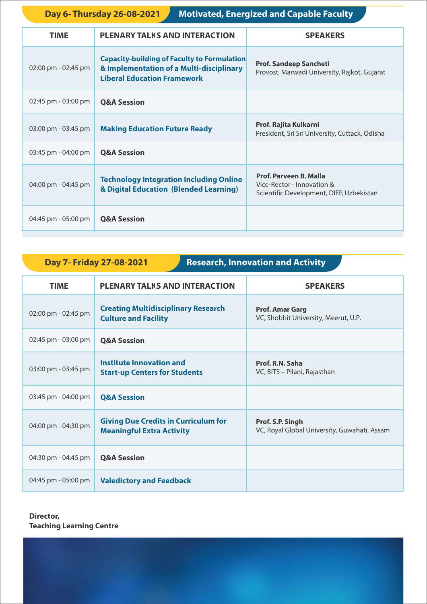**Day 6- Thursday 26-08-2021** Motivated, Energized and Capable Faculty

| <b>PLENARY TALKS AND INTERACTION</b>                                                                                                 | <b>SPEAKERS</b>                                                                                         |
|--------------------------------------------------------------------------------------------------------------------------------------|---------------------------------------------------------------------------------------------------------|
| <b>Capacity-building of Faculty to Formulation</b><br>& Implementation of a Multi-disciplinary<br><b>Liberal Education Framework</b> | <b>Prof. Sandeep Sancheti</b><br>Provost, Marwadi University, Rajkot, Gujarat                           |
| <b>Q&amp;A Session</b>                                                                                                               |                                                                                                         |
| <b>Making Education Future Ready</b>                                                                                                 | Prof. Rajita Kulkarni<br>President, Sri Sri University, Cuttack, Odisha                                 |
| <b>Q&amp;A Session</b>                                                                                                               |                                                                                                         |
| <b>Technology Integration Including Online</b><br>& Digital Education (Blended Learning)                                             | <b>Prof. Parveen B. Malla</b><br>Vice-Rector - Innovation &<br>Scientific Development, DIEP, Uzbekistan |
| <b>Q&amp;A Session</b>                                                                                                               |                                                                                                         |
|                                                                                                                                      |                                                                                                         |

## **Day 7- Friday 27-08-2021 Research, Innovation and Activity**

| <b>TIME</b>         | <b>PLENARY TALKS AND INTERACTION</b>                                            | <b>SPEAKERS</b>                                                  |
|---------------------|---------------------------------------------------------------------------------|------------------------------------------------------------------|
| 02:00 pm - 02:45 pm | <b>Creating Multidisciplinary Research</b><br><b>Culture and Facility</b>       | <b>Prof. Amar Garg</b><br>VC, Shobhit University, Meerut, U.P.   |
| 02:45 pm - 03:00 pm | <b>Q&amp;A Session</b>                                                          |                                                                  |
| 03:00 pm - 03:45 pm | Institute Innovation and<br><b>Start-up Centers for Students</b>                | Prof. R.N. Saha<br>VC, BITS – Pilani, Rajasthan                  |
| 03:45 pm - 04:00 pm | <b>Q&amp;A Session</b>                                                          |                                                                  |
| 04:00 pm - 04:30 pm | <b>Giving Due Credits in Curriculum for</b><br><b>Meaningful Extra Activity</b> | Prof. S.P. Singh<br>VC, Royal Global University, Guwahati, Assam |
| 04:30 pm - 04:45 pm | <b>Q&amp;A Session</b>                                                          |                                                                  |
| 04:45 pm - 05:00 pm | <b>Valedictory and Feedback</b>                                                 |                                                                  |

#### **Director, Teaching Learning Centre**